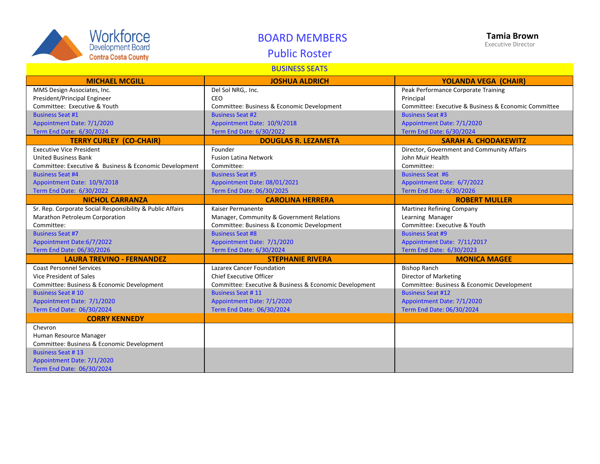| Workforce                  |
|----------------------------|
| <b>Development Board</b>   |
| <b>Contra Costa County</b> |

## BOARD MEMBERS

# Public Roster

#### BUSINESS SEATS

| <b>MICHAEL MCGILL</b>                                     | <b>JOSHUA ALDRICH</b>                                  | <b>YOLANDA VEGA (CHAIR)</b>                          |
|-----------------------------------------------------------|--------------------------------------------------------|------------------------------------------------------|
| MMS Design Associates, Inc.                               | Del Sol NRG,. Inc.                                     | Peak Performance Corporate Training                  |
| President/Principal Engineer                              | <b>CEO</b>                                             | Principal                                            |
| Committee: Executive & Youth                              | Committee: Business & Economic Development             | Committee: Executive & Business & Economic Committee |
| <b>Business Seat #1</b>                                   | <b>Business Seat #2</b>                                | <b>Business Seat #3</b>                              |
| Appointment Date: 7/1/2020                                | Appointment Date: 10/9/2018                            | Appointment Date: 7/1/2020                           |
| Term End Date: 6/30/2024                                  | Term End Date: 6/30/2022                               | Term End Date: 6/30/2024                             |
| <b>TERRY CURLEY (CO-CHAIR)</b>                            | <b>DOUGLAS R. LEZAMETA</b>                             | <b>SARAH A. CHODAKEWITZ</b>                          |
| <b>Executive Vice President</b>                           | Founder                                                | Director, Government and Community Affairs           |
| <b>United Business Bank</b>                               | <b>Fusion Latina Network</b>                           | John Muir Health                                     |
| Committee: Executive & Business & Economic Development    | Committee:                                             | Committee:                                           |
| <b>Business Seat #4</b>                                   | <b>Business Seat #5</b>                                | <b>Business Seat #6</b>                              |
| Appointment Date: 10/9/2018                               | Appointment Date: 08/01/2021                           | Appointment Date: 6/7/2022                           |
| Term End Date: 6/30/2022                                  | Term End Date: 06/30/2025                              | Term End Date: 6/30/2026                             |
| <b>NICHOL CARRANZA</b>                                    | <b>CAROLINA HERRERA</b>                                | <b>ROBERT MULLER</b>                                 |
| Sr. Rep. Corporate Social Responsibility & Public Affairs | Kaiser Permanente                                      | Martinez Refining Company                            |
| Marathon Petroleum Corporation                            | Manager, Community & Government Relations              | Learning Manager                                     |
| Committee:                                                | Committee: Business & Economic Development             | Committee: Executive & Youth                         |
| <b>Business Seat #7</b>                                   | <b>Business Seat #8</b>                                | <b>Business Seat #9</b>                              |
| Appointment Date:6/7/2022                                 | Appointment Date: 7/1/2020                             | Appointment Date: 7/11/2017                          |
| Term End Date: 06/30/2026                                 | Term End Date: 6/30/2024                               | Term End Date: 6/30/2023                             |
| <b>LAURA TREVINO - FERNANDEZ</b>                          | <b>STEPHANIE RIVERA</b>                                | <b>MONICA MAGEE</b>                                  |
| <b>Coast Personnel Services</b>                           | <b>Lazarex Cancer Foundation</b>                       | <b>Bishop Ranch</b>                                  |
| Vice President of Sales                                   | <b>Chief Executive Officer</b>                         | Director of Marketing                                |
| Committee: Business & Economic Development                | Committee: Executive & Business & Economic Development | Committee: Business & Economic Development           |
| <b>Business Seat #10</b>                                  | <b>Business Seat #11</b>                               | <b>Business Seat #12</b>                             |
| Appointment Date: 7/1/2020                                | Appointment Date: 7/1/2020                             | Appointment Date: 7/1/2020                           |
| Term End Date: 06/30/2024                                 | Term End Date: 06/30/2024                              | Term End Date: 06/30/2024                            |
| <b>CORRY KENNEDY</b>                                      |                                                        |                                                      |
| Chevron                                                   |                                                        |                                                      |
| Human Resource Manager                                    |                                                        |                                                      |
| Committee: Business & Economic Development                |                                                        |                                                      |
| <b>Business Seat #13</b>                                  |                                                        |                                                      |
| Appointment Date: 7/1/2020                                |                                                        |                                                      |
| Term End Date: 06/30/2024                                 |                                                        |                                                      |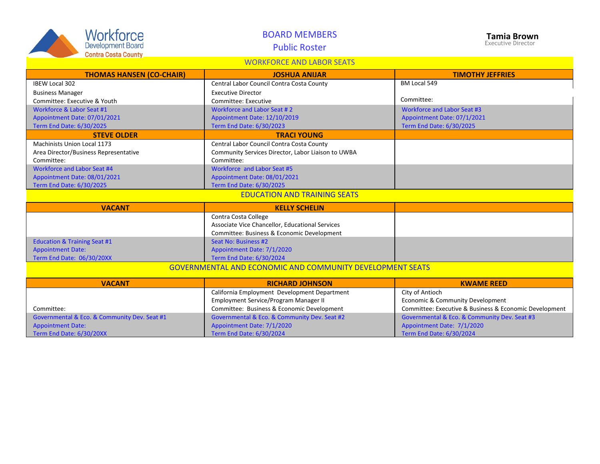| <b>Workforce</b><br>Development Board<br><b>Contra Costa County</b> | <b>BOARD MEMBERS</b><br><b>Public Roster</b>                     | <b>Tamia Brown</b><br><b>Executive Director</b>        |  |  |
|---------------------------------------------------------------------|------------------------------------------------------------------|--------------------------------------------------------|--|--|
| <b>WORKFORCE AND LABOR SEATS</b>                                    |                                                                  |                                                        |  |  |
| <b>THOMAS HANSEN (CO-CHAIR)</b>                                     | <b>JOSHUA ANIJAR</b>                                             | <b>TIMOTHY JEFFRIES</b>                                |  |  |
| <b>IBEW Local 302</b>                                               | Central Labor Council Contra Costa County                        | BM Local 549                                           |  |  |
| <b>Business Manager</b>                                             | <b>Executive Director</b>                                        |                                                        |  |  |
| Committee: Executive & Youth                                        | Committee: Executive                                             | Committee:                                             |  |  |
| Workforce & Labor Seat #1                                           | Workforce and Labor Seat #2                                      | Workforce and Labor Seat #3                            |  |  |
| Appointment Date: 07/01/2021                                        | Appointment Date: 12/10/2019                                     | Appointment Date: 07/1/2021                            |  |  |
| Term End Date: 6/30/2025                                            | Term End Date: 6/30/2023                                         | Term End Date: 6/30/2025                               |  |  |
| <b>STEVE OLDER</b>                                                  | <b>TRACI YOUNG</b>                                               |                                                        |  |  |
| <b>Machinists Union Local 1173</b>                                  | Central Labor Council Contra Costa County                        |                                                        |  |  |
| Area Director/Business Representative                               | Community Services Director, Labor Liaison to UWBA               |                                                        |  |  |
| Committee:                                                          | Committee:                                                       |                                                        |  |  |
| Workforce and Labor Seat #4                                         | Workforce and Labor Seat #5                                      |                                                        |  |  |
| Appointment Date: 08/01/2021                                        | Appointment Date: 08/01/2021                                     |                                                        |  |  |
| Term End Date: 6/30/2025                                            | Term End Date: 6/30/2025                                         |                                                        |  |  |
| <b>EDUCATION AND TRAINING SEATS</b>                                 |                                                                  |                                                        |  |  |
| <b>VACANT</b>                                                       | <b>KELLY SCHELIN</b>                                             |                                                        |  |  |
|                                                                     | Contra Costa College                                             |                                                        |  |  |
|                                                                     | Associate Vice Chancellor, Educational Services                  |                                                        |  |  |
|                                                                     | Committee: Business & Economic Development                       |                                                        |  |  |
| <b>Education &amp; Training Seat #1</b>                             | Seat No: Business #2                                             |                                                        |  |  |
| <b>Appointment Date:</b>                                            | Appointment Date: 7/1/2020                                       |                                                        |  |  |
| Term End Date: 06/30/20XX                                           | Term End Date: 6/30/2024                                         |                                                        |  |  |
|                                                                     | <b>GOVERNMENTAL AND ECONOMIC AND COMMUNITY DEVELOPMENT SEATS</b> |                                                        |  |  |
| <b>VACANT</b>                                                       | <b>RICHARD JOHNSON</b>                                           | <b>KWAME REED</b>                                      |  |  |
|                                                                     | California Employment Development Department                     | City of Antioch                                        |  |  |
|                                                                     | Employment Service/Program Manager II                            | Economic & Community Development                       |  |  |
| Committee:                                                          | Committee: Business & Economic Development                       | Committee: Executive & Business & Economic Development |  |  |
| Governmental & Eco. & Community Dev. Seat #1                        | Governmental & Eco. & Community Dev. Seat #2                     | Governmental & Eco. & Community Dev. Seat #3           |  |  |
| <b>Appointment Date:</b>                                            | Appointment Date: 7/1/2020                                       | Appointment Date: 7/1/2020                             |  |  |
| Term End Date: 6/30/20XX                                            | Term End Date: 6/30/2024                                         | Term End Date: 6/30/2024                               |  |  |